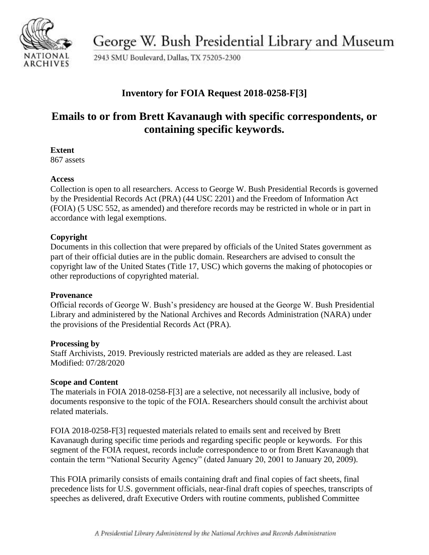

George W. Bush Presidential Library and Museum

2943 SMU Boulevard, Dallas, TX 75205-2300

## **Inventory for FOIA Request 2018-0258-F[3]**

# **Emails to or from Brett Kavanaugh with specific correspondents, or containing specific keywords.**

#### **Extent**

867 assets

### **Access**

Collection is open to all researchers. Access to George W. Bush Presidential Records is governed by the Presidential Records Act (PRA) (44 USC 2201) and the Freedom of Information Act (FOIA) (5 USC 552, as amended) and therefore records may be restricted in whole or in part in accordance with legal exemptions.

## **Copyright**

Documents in this collection that were prepared by officials of the United States government as part of their official duties are in the public domain. Researchers are advised to consult the copyright law of the United States (Title 17, USC) which governs the making of photocopies or other reproductions of copyrighted material.

### **Provenance**

Official records of George W. Bush's presidency are housed at the George W. Bush Presidential Library and administered by the National Archives and Records Administration (NARA) under the provisions of the Presidential Records Act (PRA).

### **Processing by**

Staff Archivists, 2019. Previously restricted materials are added as they are released. Last Modified: 07/28/2020

### **Scope and Content**

The materials in FOIA 2018-0258-F[3] are a selective, not necessarily all inclusive, body of documents responsive to the topic of the FOIA. Researchers should consult the archivist about related materials.

FOIA 2018-0258-F[3] requested materials related to emails sent and received by Brett Kavanaugh during specific time periods and regarding specific people or keywords. For this segment of the FOIA request, records include correspondence to or from Brett Kavanaugh that contain the term "National Security Agency" (dated January 20, 2001 to January 20, 2009).

This FOIA primarily consists of emails containing draft and final copies of fact sheets, final precedence lists for U.S. government officials, near-final draft copies of speeches, transcripts of speeches as delivered, draft Executive Orders with routine comments, published Committee